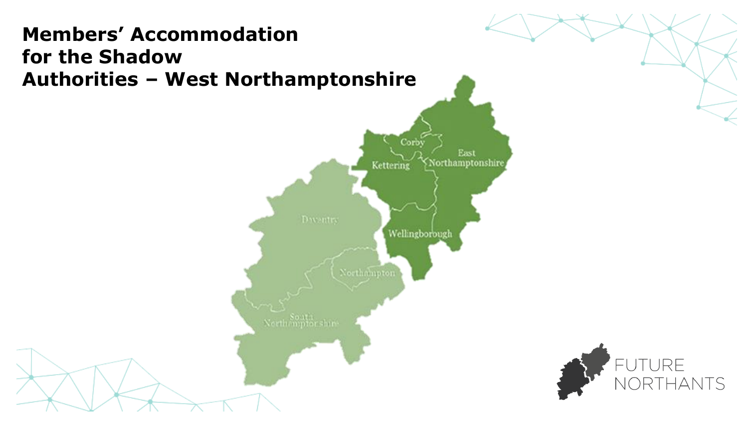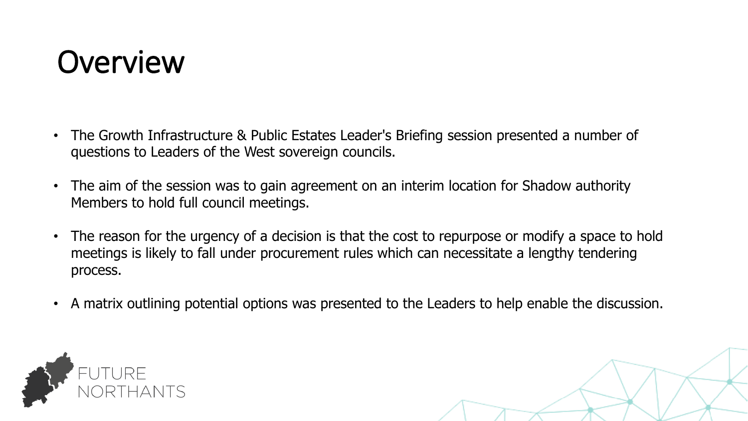## **Overview**

- The Growth Infrastructure & Public Estates Leader's Briefing session presented a number of questions to Leaders of the West sovereign councils.
- The aim of the session was to gain agreement on an interim location for Shadow authority Members to hold full council meetings.
- The reason for the urgency of a decision is that the cost to repurpose or modify a space to hold meetings is likely to fall under procurement rules which can necessitate a lengthy tendering process.
- A matrix outlining potential options was presented to the Leaders to help enable the discussion.

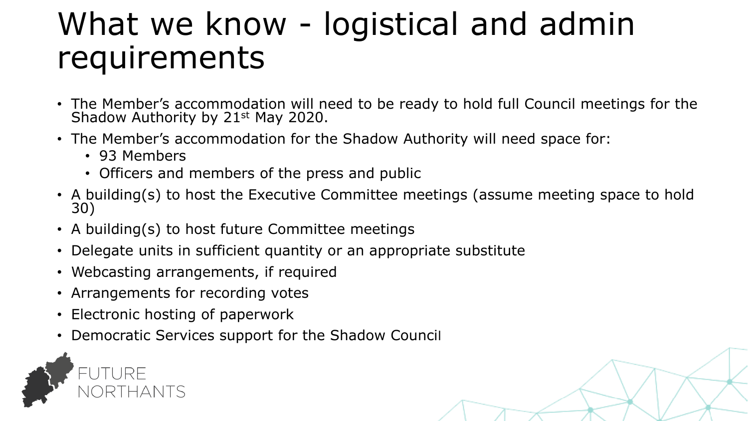## What we know - logistical and admin requirements

- The Member's accommodation will need to be ready to hold full Council meetings for the Shadow Authority by 21st May 2020.
- The Member's accommodation for the Shadow Authority will need space for:
	- 93 Members
	- Officers and members of the press and public
- A building(s) to host the Executive Committee meetings (assume meeting space to hold 30)
- A building(s) to host future Committee meetings
- Delegate units in sufficient quantity or an appropriate substitute
- Webcasting arrangements, if required
- Arrangements for recording votes
- Electronic hosting of paperwork
- Democratic Services support for the Shadow Council

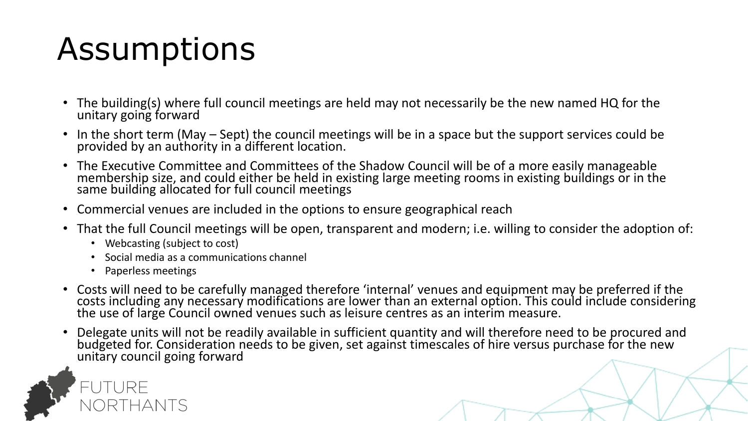# Assumptions

- The building(s) where full council meetings are held may not necessarily be the new named HQ for the unitary going forward
- In the short term (May Sept) the council meetings will be in a space but the support services could be provided by an authority in a different location.
- The Executive Committee and Committees of the Shadow Council will be of a more easily manageable membership size, and could either be held in existing large meeting rooms in existing buildings or in the same building allocated for full council meetings
- Commercial venues are included in the options to ensure geographical reach
- That the full Council meetings will be open, transparent and modern; i.e. willing to consider the adoption of:
	- Webcasting (subject to cost)
	- Social media as a communications channel
	- Paperless meetings
- Costs will need to be carefully managed therefore 'internal' venues and equipment may be preferred if the costs including any necessary modifications are lower than an external option. This could include considering the use of large Council owned venues such as leisure centres as an interim measure.
- Delegate units will not be readily available in sufficient quantity and will therefore need to be procured and budgeted for. Consideration needs to be given, set against timescales of hire versus purchase for the new unitary council going forward

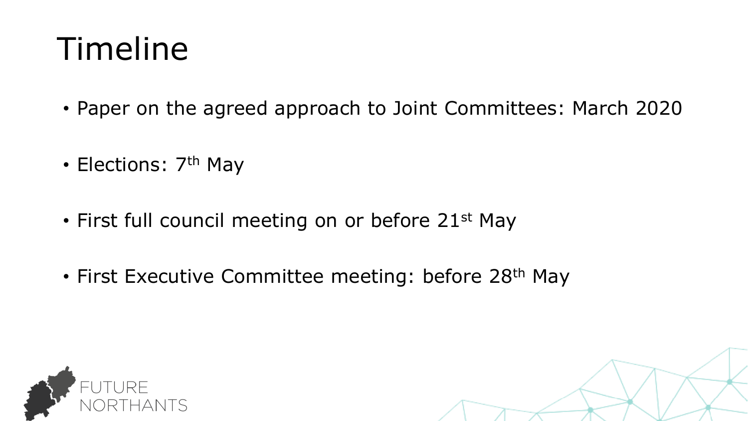# Timeline

- Paper on the agreed approach to Joint Committees: March 2020
- Elections: 7<sup>th</sup> May
- First full council meeting on or before 21st May
- First Executive Committee meeting: before 28<sup>th</sup> May



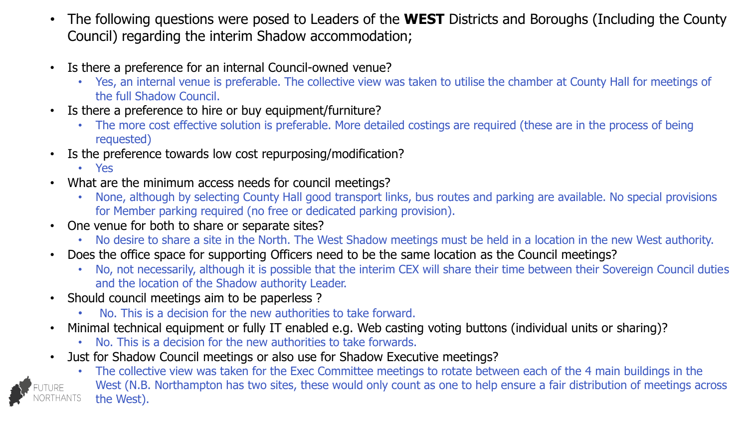- The following questions were posed to Leaders of the **WEST** Districts and Boroughs (Including the County Council) regarding the interim Shadow accommodation;
- Is there a preference for an internal Council-owned venue?
	- Yes, an internal venue is preferable. The collective view was taken to utilise the chamber at County Hall for meetings of the full Shadow Council.
- Is there a preference to hire or buy equipment/furniture?
	- The more cost effective solution is preferable. More detailed costings are required (these are in the process of being requested)
- Is the preference towards low cost repurposing/modification?
	- Yes
- What are the minimum access needs for council meetings?
	- None, although by selecting County Hall good transport links, bus routes and parking are available. No special provisions for Member parking required (no free or dedicated parking provision).
- One venue for both to share or separate sites?
	- No desire to share a site in the North. The West Shadow meetings must be held in a location in the new West authority.
- Does the office space for supporting Officers need to be the same location as the Council meetings?
	- No, not necessarily, although it is possible that the interim CEX will share their time between their Sovereign Council duties and the location of the Shadow authority Leader.
- Should council meetings aim to be paperless ?
	- No. This is a decision for the new authorities to take forward.
- Minimal technical equipment or fully IT enabled e.g. Web casting voting buttons (individual units or sharing)?
	- No. This is a decision for the new authorities to take forwards.
- Just for Shadow Council meetings or also use for Shadow Executive meetings?

• The collective view was taken for the Exec Committee meetings to rotate between each of the 4 main buildings in the West (N.B. Northampton has two sites, these would only count as one to help ensure a fair distribution of meetings across the West).